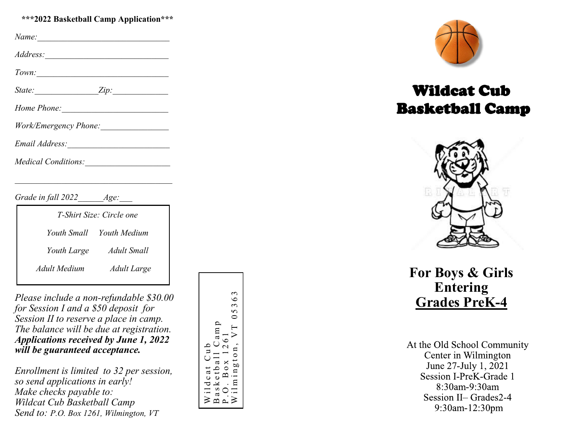#### **\*\*\*2022 Basketball Camp Application\*\*\***

| Name:                                                                                                                                                                                                                          |  |
|--------------------------------------------------------------------------------------------------------------------------------------------------------------------------------------------------------------------------------|--|
|                                                                                                                                                                                                                                |  |
| Town:                                                                                                                                                                                                                          |  |
| $State: \qquad \qquad \text{Zip:}$                                                                                                                                                                                             |  |
| Home Phone: Nonethelman Contains the Containing Section 1 and 200 million of the Containing Section 1 and 200 million 1 and 200 million 1 and 200 million 1 and 200 million 1 and 200 million 1 and 200 million 1 and 200 mill |  |
|                                                                                                                                                                                                                                |  |
|                                                                                                                                                                                                                                |  |
|                                                                                                                                                                                                                                |  |
|                                                                                                                                                                                                                                |  |

*Grade in fall 2022 Age:* 

| T-Shirt Size: Circle one |                          |  |
|--------------------------|--------------------------|--|
|                          | Youth Small Youth Medium |  |
| Youth Large              | Adult Small              |  |
| Adult Medium             | Adult Large              |  |

*Please include a non -refundable \$30.00 for Session I and a \$50 deposit for Session II to reserve a place in camp. The balance will be due at registration. Applications received by June 1, 2022 will be guaranteed acceptance.* 

*Enrollment is limited to 32 per session, so send applications in early! Make checks payable to: Wildcat Cub Basketball Camp Send to: P.O. Box 1261, Wilmington, VT* 

Wilmington, VT  $05363$  $\mathfrak{g}$  $\circ$  $\sim$  $\Omega$  $\circ$ Basketball Camp<br>P.O. Box 1261 a m p P.O. Box 1261<br>Wilmington. V ٥ Wildcat Cub<br>Basketball C  $\circ$ **bD**  $\circ$  $\mathbf{u}$ 



# Wildcat Cub Basketball Camp



**For Boys & Girls Entering Grades PreK - 4**

At the Old School Community Center in Wilmington June 27-July 1, 2021 Session I-PreK-Grade 1 8:30am-9:30am Session II-Grades2-4 9:30am-12:30pm